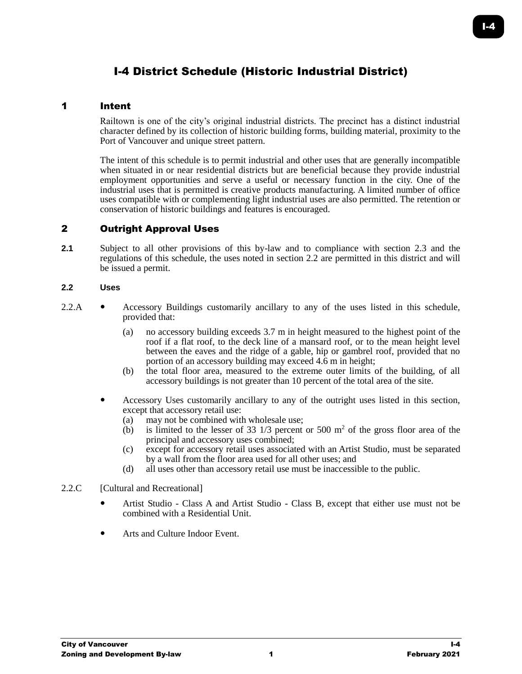# I-4 District Schedule (Historic Industrial District)

#### 1 Intent

Railtown is one of the city's original industrial districts. The precinct has a distinct industrial character defined by its collection of historic building forms, building material, proximity to the Port of Vancouver and unique street pattern.

The intent of this schedule is to permit industrial and other uses that are generally incompatible when situated in or near residential districts but are beneficial because they provide industrial employment opportunities and serve a useful or necessary function in the city. One of the industrial uses that is permitted is creative products manufacturing. A limited number of office uses compatible with or complementing light industrial uses are also permitted. The retention or conservation of historic buildings and features is encouraged.

# 2 Outright Approval Uses

**2.1** Subject to all other provisions of this by-law and to compliance with section 2.3 and the regulations of this schedule, the uses noted in section 2.2 are permitted in this district and will be issued a permit.

#### **2.2 Uses**

- 2.2.A Accessory Buildings customarily ancillary to any of the uses listed in this schedule, provided that:
	- (a) no accessory building exceeds 3.7 m in height measured to the highest point of the roof if a flat roof, to the deck line of a mansard roof, or to the mean height level between the eaves and the ridge of a gable, hip or gambrel roof, provided that no portion of an accessory building may exceed 4.6 m in height;
	- (b) the total floor area, measured to the extreme outer limits of the building, of all accessory buildings is not greater than 10 percent of the total area of the site.
	- Accessory Uses customarily ancillary to any of the outright uses listed in this section, except that accessory retail use:
		- (a) may not be combined with wholesale use;
		- (b) is limited to the lesser of 33  $1/3$  percent or 500 m<sup>2</sup> of the gross floor area of the principal and accessory uses combined;
		- (c) except for accessory retail uses associated with an Artist Studio, must be separated by a wall from the floor area used for all other uses; and
		- (d) all uses other than accessory retail use must be inaccessible to the public.

#### 2.2.C [Cultural and Recreational]

- Artist Studio Class A and Artist Studio Class B, except that either use must not be combined with a Residential Unit.
- Arts and Culture Indoor Event.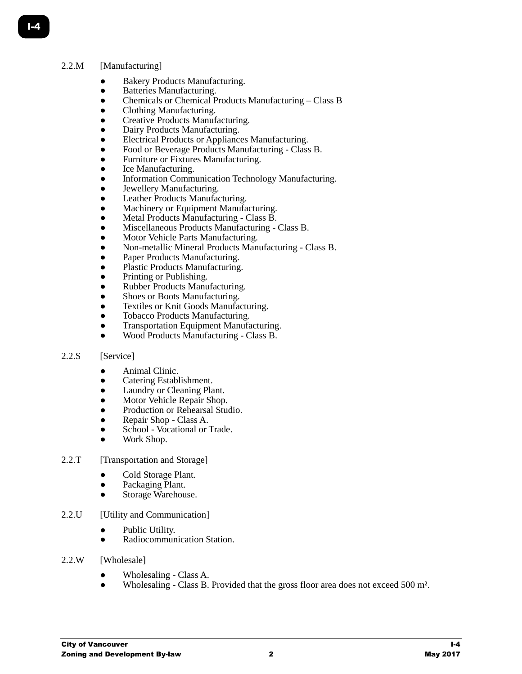# 2.2.M [Manufacturing]

- Bakery Products Manufacturing.
- Batteries Manufacturing.
- Chemicals or Chemical Products Manufacturing Class B
- Clothing Manufacturing.
- Creative Products Manufacturing.
- Dairy Products Manufacturing.
- Electrical Products or Appliances Manufacturing.
- Food or Beverage Products Manufacturing Class B.
- Furniture or Fixtures Manufacturing.
- Ice Manufacturing.
- Information Communication Technology Manufacturing.
- Jewellery Manufacturing.
- Leather Products Manufacturing.
- Machinery or Equipment Manufacturing.
- Metal Products Manufacturing Class B.
- Miscellaneous Products Manufacturing Class B.
- Motor Vehicle Parts Manufacturing.
- Non-metallic Mineral Products Manufacturing Class B.
- Paper Products Manufacturing.
- Plastic Products Manufacturing.
- Printing or Publishing.
- Rubber Products Manufacturing.
- Shoes or Boots Manufacturing.
- Textiles or Knit Goods Manufacturing.
- Tobacco Products Manufacturing.
- **Transportation Equipment Manufacturing.**
- Wood Products Manufacturing Class B.

# 2.2.S [Service]

- Animal Clinic.
- Catering Establishment.
- Laundry or Cleaning Plant.
- Motor Vehicle Repair Shop.
- Production or Rehearsal Studio.
- Repair Shop Class A.
- School Vocational or Trade.
- Work Shop.
- 2.2.T [Transportation and Storage]
	- Cold Storage Plant.
	- Packaging Plant.
	- Storage Warehouse.
- 2.2.U [Utility and Communication]
	- Public Utility.
	- **Radiocommunication Station.**
- 2.2.W [Wholesale]
	- Wholesaling Class A.
	- Wholesaling Class B. Provided that the gross floor area does not exceed 500 m<sup>2</sup>.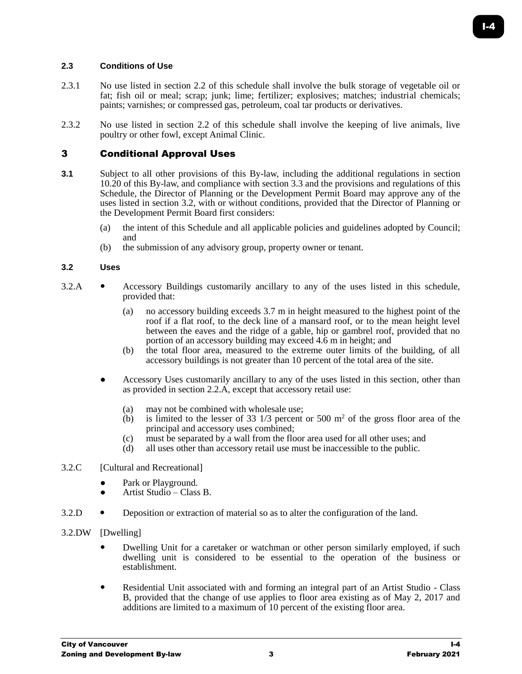# **2.3 Conditions of Use**

- 2.3.1 No use listed in section 2.2 of this schedule shall involve the bulk storage of vegetable oil or fat; fish oil or meal; scrap; junk; lime; fertilizer; explosives; matches; industrial chemicals; paints; varnishes; or compressed gas, petroleum, coal tar products or derivatives.
- 2.3.2 No use listed in section 2.2 of this schedule shall involve the keeping of live animals, live poultry or other fowl, except Animal Clinic.

# 3 Conditional Approval Uses

- **3.1** Subject to all other provisions of this By-law, including the additional regulations in section 10.20 of this By-law, and compliance with section 3.3 and the provisions and regulations of this Schedule, the Director of Planning or the Development Permit Board may approve any of the uses listed in section 3.2, with or without conditions, provided that the Director of Planning or the Development Permit Board first considers:
	- (a) the intent of this Schedule and all applicable policies and guidelines adopted by Council; and
	- (b) the submission of any advisory group, property owner or tenant.

#### **3.2 Uses**

- 3.2.A Accessory Buildings customarily ancillary to any of the uses listed in this schedule, provided that:
	- (a) no accessory building exceeds 3.7 m in height measured to the highest point of the roof if a flat roof, to the deck line of a mansard roof, or to the mean height level between the eaves and the ridge of a gable, hip or gambrel roof, provided that no portion of an accessory building may exceed 4.6 m in height; and
	- (b) the total floor area, measured to the extreme outer limits of the building, of all accessory buildings is not greater than 10 percent of the total area of the site.
	- Accessory Uses customarily ancillary to any of the uses listed in this section, other than as provided in section 2.2.A, except that accessory retail use:
		- (a) may not be combined with wholesale use;
		- (b) is limited to the lesser of 33  $1/3$  percent or 500 m<sup>2</sup> of the gross floor area of the principal and accessory uses combined;
		- (c) must be separated by a wall from the floor area used for all other uses; and
		- (d) all uses other than accessory retail use must be inaccessible to the public.

#### 3.2.C [Cultural and Recreational]

- Park or Playground.
- Artist Studio Class B.
- 3.2.D Deposition or extraction of material so as to alter the configuration of the land.
- 3.2.DW [Dwelling]
	- Dwelling Unit for a caretaker or watchman or other person similarly employed, if such dwelling unit is considered to be essential to the operation of the business or establishment.
	- Residential Unit associated with and forming an integral part of an Artist Studio Class B, provided that the change of use applies to floor area existing as of May 2, 2017 and additions are limited to a maximum of 10 percent of the existing floor area.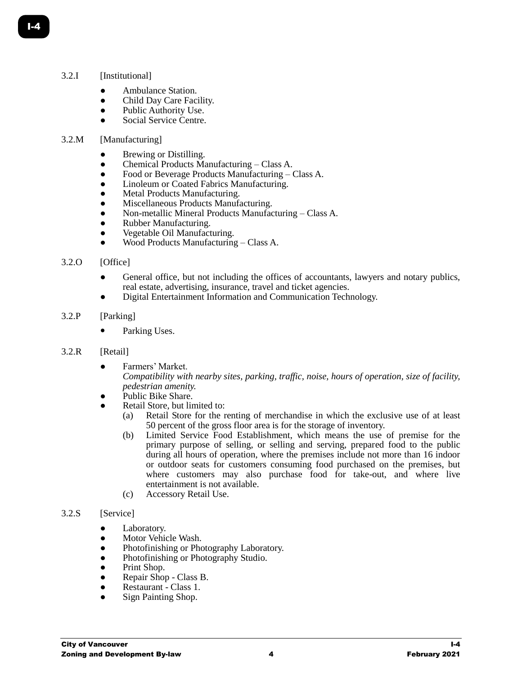#### 3.2.I [Institutional]

- Ambulance Station.
- Child Day Care Facility.
- Public Authority Use.
- Social Service Centre.

#### 3.2.M [Manufacturing]

- Brewing or Distilling.
- Chemical Products Manufacturing Class A.
- Food or Beverage Products Manufacturing Class A.
- Linoleum or Coated Fabrics Manufacturing.
- Metal Products Manufacturing.
- Miscellaneous Products Manufacturing.
- Non-metallic Mineral Products Manufacturing Class A.
- Rubber Manufacturing.
- Vegetable Oil Manufacturing.
- Wood Products Manufacturing Class A.

#### 3.2.O [Office]

- General office, but not including the offices of accountants, lawyers and notary publics, real estate, advertising, insurance, travel and ticket agencies.
- Digital Entertainment Information and Communication Technology.

#### 3.2.P [Parking]

• Parking Uses.

# 3.2.R [Retail]

- Farmers' Market.
	- *Compatibility with nearby sites, parking, traffic, noise, hours of operation, size of facility, pedestrian amenity.*
- Public Bike Share.
- Retail Store, but limited to:
	- (a) Retail Store for the renting of merchandise in which the exclusive use of at least 50 percent of the gross floor area is for the storage of inventory.
	- (b) Limited Service Food Establishment, which means the use of premise for the primary purpose of selling, or selling and serving, prepared food to the public during all hours of operation, where the premises include not more than 16 indoor or outdoor seats for customers consuming food purchased on the premises, but where customers may also purchase food for take-out, and where live entertainment is not available.
	- (c) Accessory Retail Use.

#### 3.2.S [Service]

- Laboratory.
- Motor Vehicle Wash.
- Photofinishing or Photography Laboratory.
- Photofinishing or Photography Studio.
- Print Shop.
- Repair Shop Class B.
- Restaurant Class 1.
- Sign Painting Shop.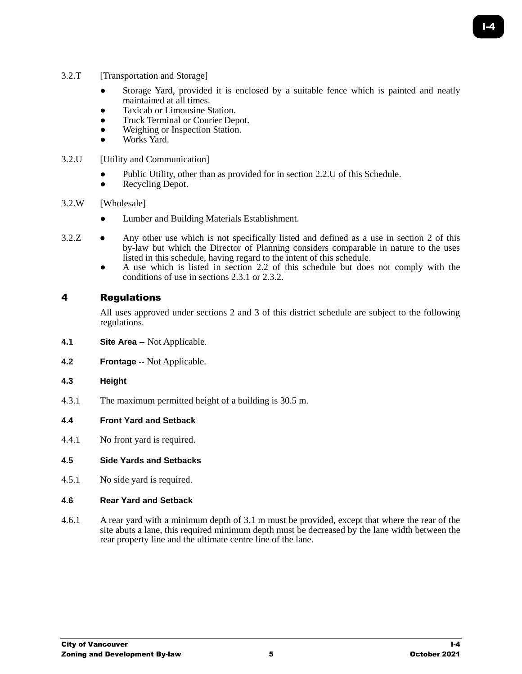- 3.2.T [Transportation and Storage]
	- Storage Yard, provided it is enclosed by a suitable fence which is painted and neatly maintained at all times.
	- Taxicab or Limousine Station.
	- Truck Terminal or Courier Depot.
	- Weighing or Inspection Station.
	- Works Yard.
- 3.2.U [Utility and Communication]
	- Public Utility, other than as provided for in section 2.2.U of this Schedule.
	- Recycling Depot.
- 3.2.W [Wholesale]
	- Lumber and Building Materials Establishment.
- 3.2.Z Any other use which is not specifically listed and defined as a use in section 2 of this by-law but which the Director of Planning considers comparable in nature to the uses listed in this schedule, having regard to the intent of this schedule.
	- A use which is listed in section 2.2 of this schedule but does not comply with the conditions of use in sections 2.3.1 or 2.3.2.

# 4 Regulations

All uses approved under sections 2 and 3 of this district schedule are subject to the following regulations.

- **4.1 Site Area --** Not Applicable.
- **4.2 Frontage --** Not Applicable.
- **4.3 Height**
- 4.3.1 The maximum permitted height of a building is 30.5 m.

# **4.4 Front Yard and Setback**

4.4.1 No front yard is required.

# **4.5 Side Yards and Setbacks**

4.5.1 No side yard is required.

# **4.6 Rear Yard and Setback**

4.6.1 A rear yard with a minimum depth of 3.1 m must be provided, except that where the rear of the site abuts a lane, this required minimum depth must be decreased by the lane width between the rear property line and the ultimate centre line of the lane.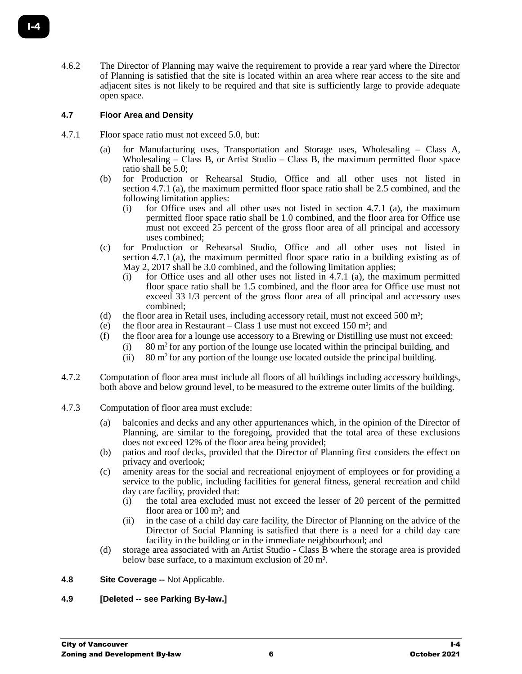4.6.2 The Director of Planning may waive the requirement to provide a rear yard where the Director of Planning is satisfied that the site is located within an area where rear access to the site and adjacent sites is not likely to be required and that site is sufficiently large to provide adequate open space.

# **4.7 Floor Area and Density**

- 4.7.1 Floor space ratio must not exceed 5.0, but:
	- (a) for Manufacturing uses, Transportation and Storage uses, Wholesaling Class A, Wholesaling – Class B, or Artist Studio – Class B, the maximum permitted floor space ratio shall be 5.0;
	- (b) for Production or Rehearsal Studio, Office and all other uses not listed in section 4.7.1 (a), the maximum permitted floor space ratio shall be 2.5 combined, and the following limitation applies:
		- (i) for Office uses and all other uses not listed in section 4.7.1 (a), the maximum permitted floor space ratio shall be 1.0 combined, and the floor area for Office use must not exceed 25 percent of the gross floor area of all principal and accessory uses combined;
	- (c) for Production or Rehearsal Studio, Office and all other uses not listed in section 4.7.1 (a), the maximum permitted floor space ratio in a building existing as of May 2, 2017 shall be 3.0 combined, and the following limitation applies;
		- $(i)$  for Office uses and all other uses not listed in 4.7.1 (a), the maximum permitted floor space ratio shall be 1.5 combined, and the floor area for Office use must not exceed 33 1/3 percent of the gross floor area of all principal and accessory uses combined;
	- (d) the floor area in Retail uses, including accessory retail, must not exceed 500 m²;
	- (e) the floor area in Restaurant Class 1 use must not exceed 150 m²; and
	- (f) the floor area for a lounge use accessory to a Brewing or Distilling use must not exceed:
		- (i)  $80 \text{ m}^2$  for any portion of the lounge use located within the principal building, and
			- (ii) 80  $\text{m}^2$  for any portion of the lounge use located outside the principal building.
- 4.7.2 Computation of floor area must include all floors of all buildings including accessory buildings, both above and below ground level, to be measured to the extreme outer limits of the building.
- 4.7.3 Computation of floor area must exclude:
	- (a) balconies and decks and any other appurtenances which, in the opinion of the Director of Planning, are similar to the foregoing, provided that the total area of these exclusions does not exceed 12% of the floor area being provided;
	- (b) patios and roof decks, provided that the Director of Planning first considers the effect on privacy and overlook;
	- (c) amenity areas for the social and recreational enjoyment of employees or for providing a service to the public, including facilities for general fitness, general recreation and child day care facility, provided that:
		- (i) the total area excluded must not exceed the lesser of 20 percent of the permitted floor area or 100 m<sup>2</sup>; and
		- (ii) in the case of a child day care facility, the Director of Planning on the advice of the Director of Social Planning is satisfied that there is a need for a child day care facility in the building or in the immediate neighbourhood; and
	- (d) storage area associated with an Artist Studio Class B where the storage area is provided below base surface, to a maximum exclusion of 20 m².

# **4.8 Site Coverage --** Not Applicable.

# **4.9 [Deleted -- see Parking By-law.]**